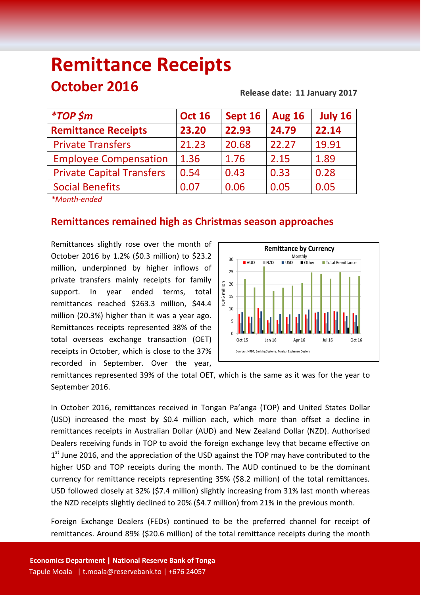# **Remittance Receipts October 2016 Release date: 11 January <sup>2017</sup>**

| <i><b>*TOP \$m</b></i>           | <b>Oct 16</b> | Sept 16 | <b>Aug 16</b> | July 16 |
|----------------------------------|---------------|---------|---------------|---------|
| <b>Remittance Receipts</b>       | 23.20         | 22.93   | 24.79         | 22.14   |
| <b>Private Transfers</b>         | 21.23         | 20.68   | 22.27         | 19.91   |
| <b>Employee Compensation</b>     | 1.36          | 1.76    | 2.15          | 1.89    |
| <b>Private Capital Transfers</b> | 0.54          | 0.43    | 0.33          | 0.28    |
| <b>Social Benefits</b>           | 0.07          | 0.06    | 0.05          | 0.05    |

*\*Month-ended*

# **Remittances remained high as Christmas season approaches**

Remittances slightly rose over the month of October 2016 by 1.2% (\$0.3 million) to \$23.2 million, underpinned by higher inflows of private transfers mainly receipts for family support. In year ended terms, total remittances reached \$263.3 million, \$44.4 million (20.3%) higher than it was a year ago. Remittances receipts represented 38% of the total overseas exchange transaction (OET) receipts in October, which is close to the 37% recorded in September. Over the year,



remittances represented 39% of the total OET, which is the same as it was for the year to September 2016.

In October 2016, remittances received in Tongan Pa'anga (TOP) and United States Dollar (USD) increased the most by \$0.4 million each, which more than offset a decline in remittances receipts in Australian Dollar (AUD) and New Zealand Dollar (NZD). Authorised Dealers receiving funds in TOP to avoid the foreign exchange levy that became effective on 1<sup>st</sup> June 2016, and the appreciation of the USD against the TOP may have contributed to the higher USD and TOP receipts during the month. The AUD continued to be the dominant currency for remittance receipts representing 35% (\$8.2 million) of the total remittances. USD followed closely at 32% (\$7.4 million) slightly increasing from 31% last month whereas the NZD receipts slightly declined to 20% (\$4.7 million) from 21% in the previous month.

Foreign Exchange Dealers (FEDs) continued to be the preferred channel for receipt of remittances. Around 89% (\$20.6 million) of the total remittance receipts during the month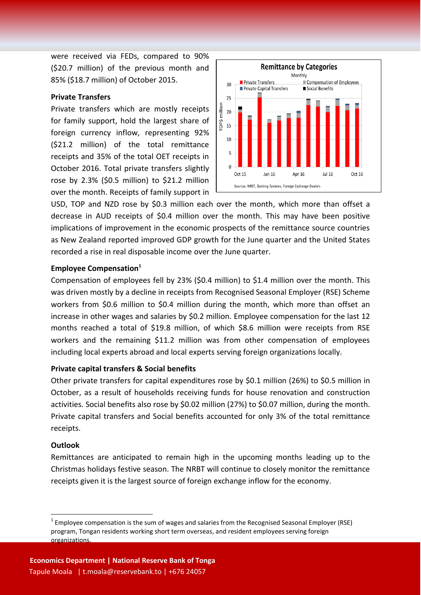were received via FEDs, compared to 90% (\$20.7 million) of the previous month and 85% (\$18.7 million) of October 2015.

# **Private Transfers**

Private transfers which are mostly receipts for family support, hold the largest share of foreign currency inflow, representing 92% (\$21.2 million) of the total remittance receipts and 35% of the total OET receipts in October 2016. Total private transfers slightly rose by 2.3% (\$0.5 million) to \$21.2 million over the month. Receipts of family support in



USD, TOP and NZD rose by \$0.3 million each over the month, which more than offset a decrease in AUD receipts of \$0.4 million over the month. This may have been positive implications of improvement in the economic prospects of the remittance source countries as New Zealand reported improved GDP growth for the June quarter and the United States recorded a rise in real disposable income over the June quarter.

## **Employee Compensation<sup>1</sup>**

Compensation of employees fell by 23% (\$0.4 million) to \$1.4 million over the month. This was driven mostly by a decline in receipts from Recognised Seasonal Employer (RSE) Scheme workers from \$0.6 million to \$0.4 million during the month, which more than offset an increase in other wages and salaries by \$0.2 million. Employee compensation for the last 12 months reached a total of \$19.8 million, of which \$8.6 million were receipts from RSE workers and the remaining \$11.2 million was from other compensation of employees including local experts abroad and local experts serving foreign organizations locally.

#### **Private capital transfers & Social benefits**

Other private transfers for capital expenditures rose by \$0.1 million (26%) to \$0.5 million in October, as a result of households receiving funds for house renovation and construction activities. Social benefits also rose by \$0.02 million (27%) to \$0.07 million, during the month. Private capital transfers and Social benefits accounted for only 3% of the total remittance receipts.

#### **Outlook**

**.** 

Remittances are anticipated to remain high in the upcoming months leading up to the Christmas holidays festive season. The NRBT will continue to closely monitor the remittance receipts given it is the largest source of foreign exchange inflow for the economy.

 $1$  Employee compensation is the sum of wages and salaries from the Recognised Seasonal Employer (RSE) program, Tongan residents working short term overseas, and resident employees serving foreign organizations.